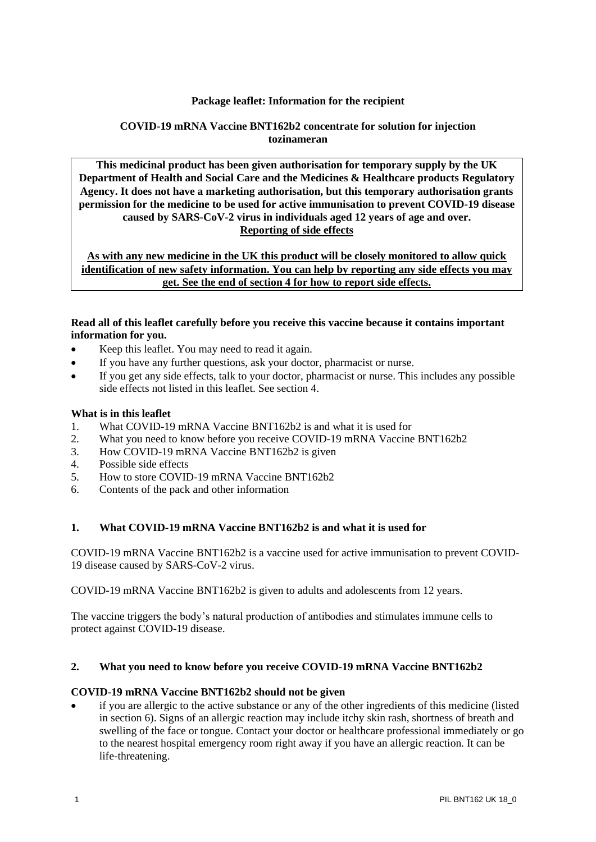### **Package leaflet: Information for the recipient**

### **COVID-19 mRNA Vaccine BNT162b2 concentrate for solution for injection tozinameran**

**This medicinal product has been given authorisation for temporary supply by the UK Department of Health and Social Care and the Medicines & Healthcare products Regulatory Agency. It does not have a marketing authorisation, but this temporary authorisation grants permission for the medicine to be used for active immunisation to prevent COVID-19 disease caused by SARS-CoV-2 virus in individuals aged 12 years of age and over. Reporting of side effects**

**As with any new medicine in the UK this product will be closely monitored to allow quick identification of new safety information. You can help by reporting any side effects you may get. See the end of section 4 for how to report side effects.**

### **Read all of this leaflet carefully before you receive this vaccine because it contains important information for you.**

- Keep this leaflet. You may need to read it again.
- If you have any further questions, ask your doctor, pharmacist or nurse.
- If you get any side effects, talk to your doctor, pharmacist or nurse. This includes any possible side effects not listed in this leaflet. See section 4.

#### **What is in this leaflet**

- 1. What COVID-19 mRNA Vaccine BNT162b2 is and what it is used for
- 2. What you need to know before you receive COVID-19 mRNA Vaccine BNT162b2
- 3. How COVID-19 mRNA Vaccine BNT162b2 is given
- 4. Possible side effects
- 5. How to store COVID-19 mRNA Vaccine BNT162b2
- 6. Contents of the pack and other information

### **1. What COVID-19 mRNA Vaccine BNT162b2 is and what it is used for**

COVID-19 mRNA Vaccine BNT162b2 is a vaccine used for active immunisation to prevent COVID-19 disease caused by SARS-CoV-2 virus.

COVID-19 mRNA Vaccine BNT162b2 is given to adults and adolescents from 12 years.

The vaccine triggers the body's natural production of antibodies and stimulates immune cells to protect against COVID-19 disease.

#### **2. What you need to know before you receive COVID-19 mRNA Vaccine BNT162b2**

#### **COVID-19 mRNA Vaccine BNT162b2 should not be given**

if you are allergic to the active substance or any of the other ingredients of this medicine (listed in section 6). Signs of an allergic reaction may include itchy skin rash, shortness of breath and swelling of the face or tongue. Contact your doctor or healthcare professional immediately or go to the nearest hospital emergency room right away if you have an allergic reaction. It can be life-threatening.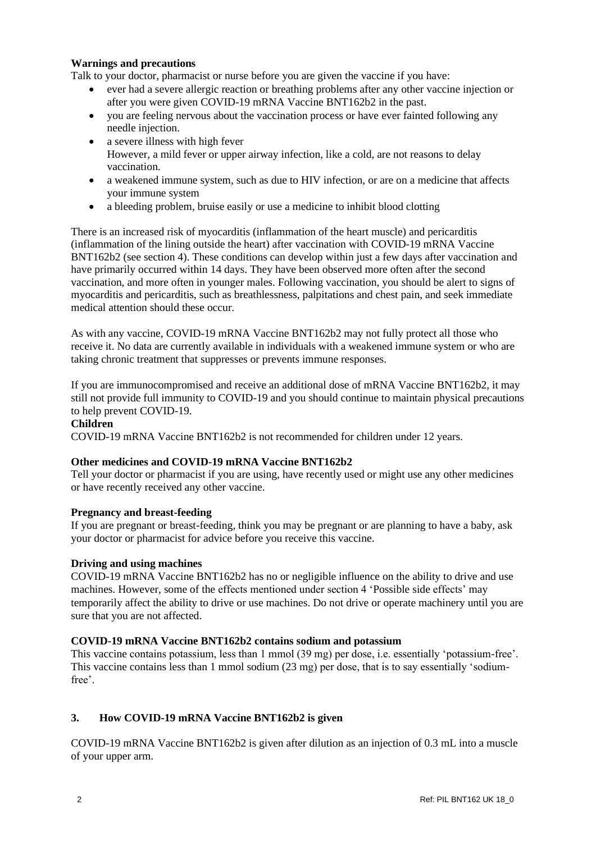### **Warnings and precautions**

Talk to your doctor, pharmacist or nurse before you are given the vaccine if you have:

- ever had a severe allergic reaction or breathing problems after any other vaccine injection or after you were given COVID-19 mRNA Vaccine BNT162b2 in the past.
- you are feeling nervous about the vaccination process or have ever fainted following any needle injection.
- a severe illness with high fever However, a mild fever or upper airway infection, like a cold, are not reasons to delay vaccination.
- a weakened immune system, such as due to HIV infection, or are on a medicine that affects your immune system
- a bleeding problem, bruise easily or use a medicine to inhibit blood clotting

There is an increased risk of myocarditis (inflammation of the heart muscle) and pericarditis (inflammation of the lining outside the heart) after vaccination with COVID-19 mRNA Vaccine BNT162b2 (see section 4). These conditions can develop within just a few days after vaccination and have primarily occurred within 14 days. They have been observed more often after the second vaccination, and more often in younger males. Following vaccination, you should be alert to signs of myocarditis and pericarditis, such as breathlessness, palpitations and chest pain, and seek immediate medical attention should these occur.

As with any vaccine, COVID-19 mRNA Vaccine BNT162b2 may not fully protect all those who receive it. No data are currently available in individuals with a weakened immune system or who are taking chronic treatment that suppresses or prevents immune responses.

If you are immunocompromised and receive an additional dose of mRNA Vaccine BNT162b2, it may still not provide full immunity to COVID-19 and you should continue to maintain physical precautions to help prevent COVID-19.

#### **Children**

COVID-19 mRNA Vaccine BNT162b2 is not recommended for children under 12 years.

# **Other medicines and COVID-19 mRNA Vaccine BNT162b2**

Tell your doctor or pharmacist if you are using, have recently used or might use any other medicines or have recently received any other vaccine.

# **Pregnancy and breast-feeding**

If you are pregnant or breast-feeding, think you may be pregnant or are planning to have a baby, ask your doctor or pharmacist for advice before you receive this vaccine.

#### **Driving and using machines**

COVID-19 mRNA Vaccine BNT162b2 has no or negligible influence on the ability to drive and use machines. However, some of the effects mentioned under section 4 'Possible side effects' may temporarily affect the ability to drive or use machines. Do not drive or operate machinery until you are sure that you are not affected.

# **COVID-19 mRNA Vaccine BNT162b2 contains sodium and potassium**

This vaccine contains potassium, less than 1 mmol (39 mg) per dose, i.e. essentially 'potassium-free'. This vaccine contains less than 1 mmol sodium (23 mg) per dose, that is to say essentially 'sodiumfree'.

# **3. How COVID-19 mRNA Vaccine BNT162b2 is given**

COVID-19 mRNA Vaccine BNT162b2 is given after dilution as an injection of 0.3 mL into a muscle of your upper arm.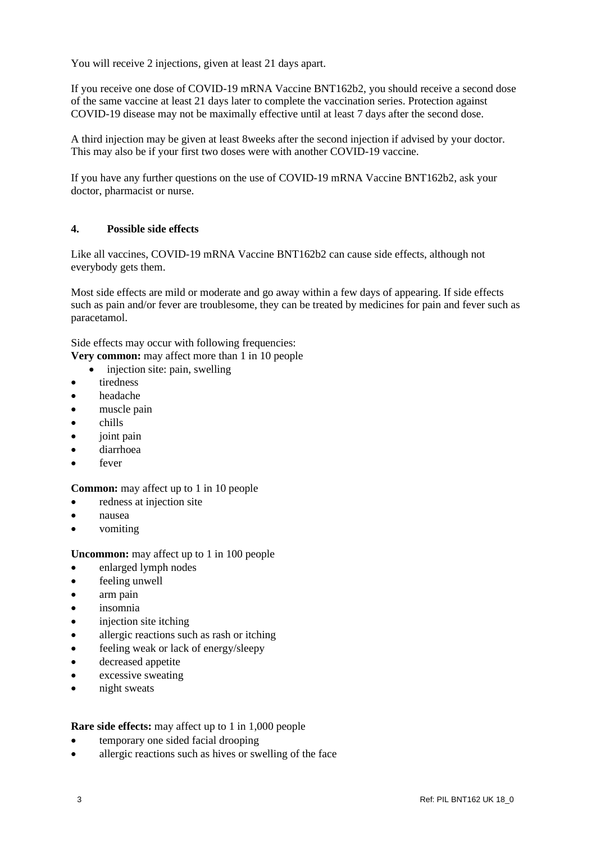You will receive 2 injections, given at least 21 days apart.

If you receive one dose of COVID-19 mRNA Vaccine BNT162b2, you should receive a second dose of the same vaccine at least 21 days later to complete the vaccination series. Protection against COVID-19 disease may not be maximally effective until at least 7 days after the second dose.

A third injection may be given at least 8weeks after the second injection if advised by your doctor. This may also be if your first two doses were with another COVID-19 vaccine.

If you have any further questions on the use of COVID-19 mRNA Vaccine BNT162b2, ask your doctor, pharmacist or nurse.

# **4. Possible side effects**

Like all vaccines, COVID-19 mRNA Vaccine BNT162b2 can cause side effects, although not everybody gets them.

Most side effects are mild or moderate and go away within a few days of appearing. If side effects such as pain and/or fever are troublesome, they can be treated by medicines for pain and fever such as paracetamol.

Side effects may occur with following frequencies:

**Very common:** may affect more than 1 in 10 people

- injection site: pain, swelling
- **tiredness**
- headache
- muscle pain
- chills
- joint pain
- diarrhoea
- fever

#### **Common:** may affect up to 1 in 10 people

- redness at injection site
- nausea
- vomiting

**Uncommon:** may affect up to 1 in 100 people

- enlarged lymph nodes
- feeling unwell
- arm pain
- insomnia
- injection site itching
- allergic reactions such as rash or itching
- feeling weak or lack of energy/sleepy
- decreased appetite
- excessive sweating
- night sweats

#### **Rare side effects:** may affect up to 1 in 1,000 people

- temporary one sided facial drooping
- allergic reactions such as hives or swelling of the face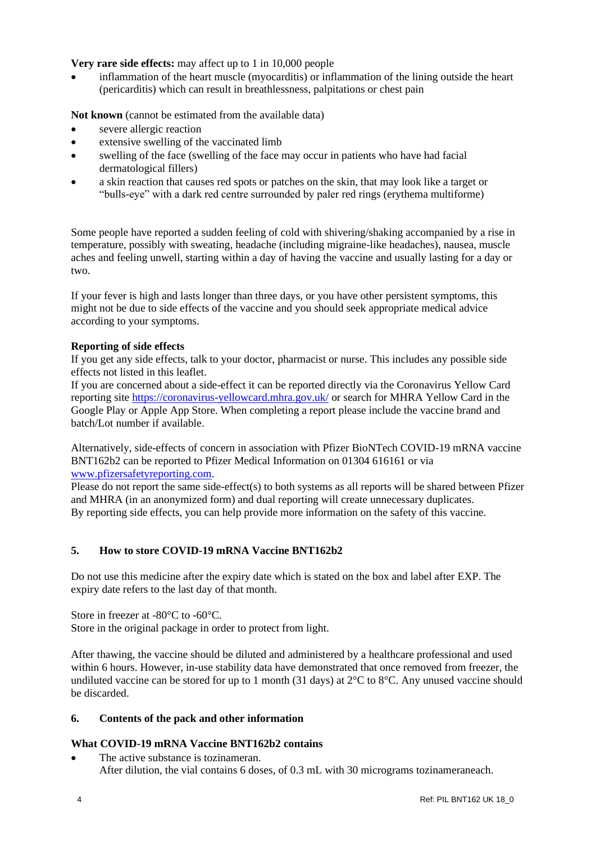### **Very rare side effects:** may affect up to 1 in 10,000 people

• inflammation of the heart muscle (myocarditis) or inflammation of the lining outside the heart (pericarditis) which can result in breathlessness, palpitations or chest pain

**Not known** (cannot be estimated from the available data)

- severe allergic reaction
- extensive swelling of the vaccinated limb
- swelling of the face (swelling of the face may occur in patients who have had facial dermatological fillers)
- a skin reaction that causes red spots or patches on the skin, that may look like a target or "bulls-eye" with a dark red centre surrounded by paler red rings (erythema multiforme)

Some people have reported a sudden feeling of cold with shivering/shaking accompanied by a rise in temperature, possibly with sweating, headache (including migraine-like headaches), nausea, muscle aches and feeling unwell, starting within a day of having the vaccine and usually lasting for a day or two.

If your fever is high and lasts longer than three days, or you have other persistent symptoms, this might not be due to side effects of the vaccine and you should seek appropriate medical advice according to your symptoms.

### **Reporting of side effects**

If you get any side effects, talk to your doctor, pharmacist or nurse. This includes any possible side effects not listed in this leaflet.

If you are concerned about a side-effect it can be reported directly via the Coronavirus Yellow Card reporting site<https://coronavirus-yellowcard.mhra.gov.uk/> or search for MHRA Yellow Card in the Google Play or Apple App Store. When completing a report please include the vaccine brand and batch/Lot number if available.

Alternatively, side-effects of concern in association with Pfizer BioNTech COVID-19 mRNA vaccine BNT162b2 can be reported to Pfizer Medical Information on 01304 616161 or via [www.pfizersafetyreporting.com.](http://www.pfizersafetyreporting.com/)

Please do not report the same side-effect(s) to both systems as all reports will be shared between Pfizer and MHRA (in an anonymized form) and dual reporting will create unnecessary duplicates. By reporting side effects, you can help provide more information on the safety of this vaccine.

# **5. How to store COVID-19 mRNA Vaccine BNT162b2**

Do not use this medicine after the expiry date which is stated on the box and label after EXP. The expiry date refers to the last day of that month.

Store in freezer at -80°C to -60°C.

Store in the original package in order to protect from light.

After thawing, the vaccine should be diluted and administered by a healthcare professional and used within 6 hours. However, in-use stability data have demonstrated that once removed from freezer, the undiluted vaccine can be stored for up to 1 month (31 days) at 2°C to 8°C. Any unused vaccine should be discarded.

# **6. Contents of the pack and other information**

# **What COVID-19 mRNA Vaccine BNT162b2 contains**

The active substance is tozinameran. After dilution, the vial contains 6 doses, of 0.3 mL with 30 micrograms tozinameraneach.